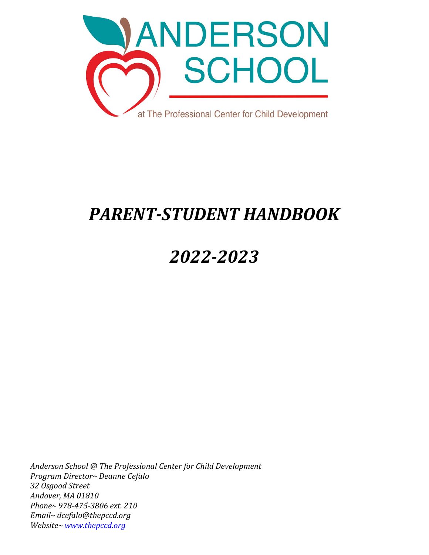

# *PARENT-STUDENT HANDBOOK*

# *2022-2023*

*Anderson School @ The Professional Center for Child Development Program Director~ Deanne Cefalo 32 Osgood Street Andover, MA 01810 Phone~ 978-475-3806 ext. 210 Email~ dcefalo@thepccd.org Website~ [www.thepccd.org](http://www.thepccd.org/)*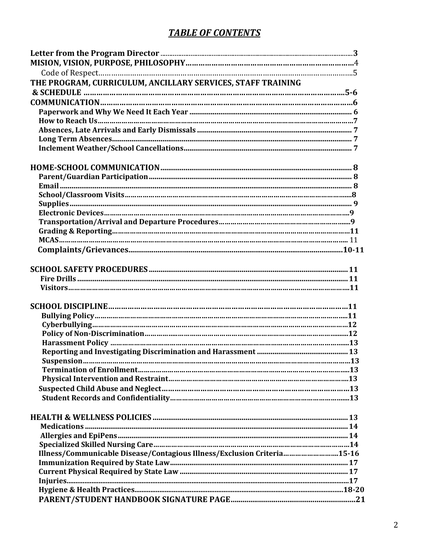# **TABLE OF CONTENTS**

| THE PROGRAM, CURRICULUM, ANCILLARY SERVICES, STAFF TRAINING             |  |
|-------------------------------------------------------------------------|--|
|                                                                         |  |
|                                                                         |  |
|                                                                         |  |
|                                                                         |  |
|                                                                         |  |
|                                                                         |  |
|                                                                         |  |
|                                                                         |  |
|                                                                         |  |
|                                                                         |  |
|                                                                         |  |
|                                                                         |  |
|                                                                         |  |
|                                                                         |  |
|                                                                         |  |
|                                                                         |  |
|                                                                         |  |
|                                                                         |  |
|                                                                         |  |
|                                                                         |  |
|                                                                         |  |
|                                                                         |  |
|                                                                         |  |
|                                                                         |  |
|                                                                         |  |
|                                                                         |  |
|                                                                         |  |
|                                                                         |  |
|                                                                         |  |
|                                                                         |  |
|                                                                         |  |
|                                                                         |  |
|                                                                         |  |
|                                                                         |  |
|                                                                         |  |
|                                                                         |  |
| Illness/Communicable Disease/Contagious Illness/Exclusion Criteria15-16 |  |
|                                                                         |  |
|                                                                         |  |
|                                                                         |  |
|                                                                         |  |
|                                                                         |  |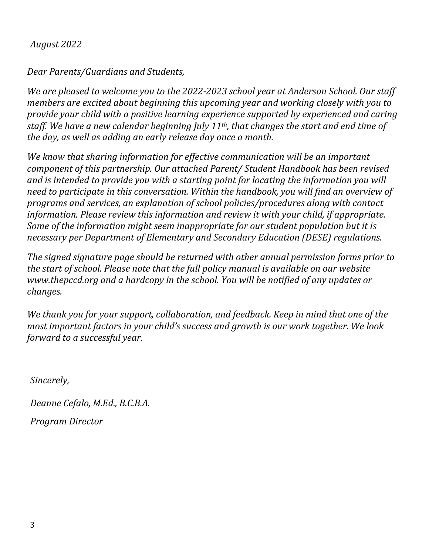## *August 2022*

*Dear Parents/Guardians and Students,*

*We are pleased to welcome you to the 2022-2023 school year at Anderson School. Our staff members are excited about beginning this upcoming year and working closely with you to provide your child with a positive learning experience supported by experienced and caring staff. We have a new calendar beginning July 11th, that changes the start and end time of the day, as well as adding an early release day once a month.* 

*We know that sharing information for effective communication will be an important component of this partnership. Our attached Parent/ Student Handbook has been revised and is intended to provide you with a starting point for locating the information you will need to participate in this conversation. Within the handbook, you will find an overview of programs and services, an explanation of school policies/procedures along with contact information. Please review this information and review it with your child, if appropriate. Some of the information might seem inappropriate for our student population but it is necessary per Department of Elementary and Secondary Education (DESE) regulations.*

*The signed signature page should be returned with other annual permission forms prior to the start of school. Please note that the full policy manual is available on our website www.thepccd.org and a hardcopy in the school. You will be notified of any updates or changes.*

*We thank you for your support, collaboration, and feedback. Keep in mind that one of the most important factors in your child's success and growth is our work together. We look forward to a successful year.*

*Sincerely,*

*Deanne Cefalo, M.Ed., B.C.B.A.*

*Program Director*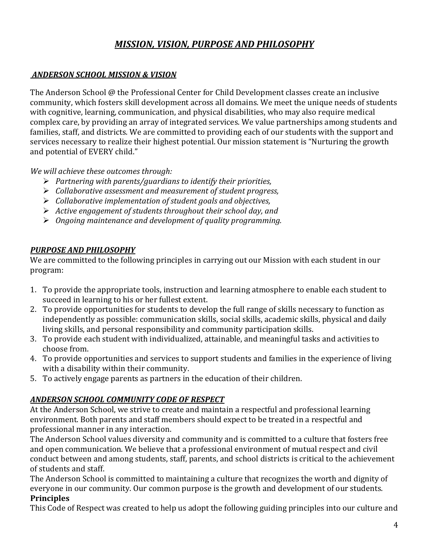## *MISSION, VISION, PURPOSE AND PHILOSOPHY*

#### *ANDERSON SCHOOL MISSION & VISION*

The Anderson School @ the Professional Center for Child Development classes create an inclusive community, which fosters skill development across all domains. We meet the unique needs of students with cognitive, learning, communication, and physical disabilities, who may also require medical complex care, by providing an array of integrated services. We value partnerships among students and families, staff, and districts. We are committed to providing each of our students with the support and services necessary to realize their highest potential. Our mission statement is "Nurturing the growth and potential of EVERY child."

*We will achieve these outcomes through:*

- *Partnering with parents/guardians to identify their priorities,*
- *Collaborative assessment and measurement of student progress,*
- *Collaborative implementation of student goals and objectives,*
- *Active engagement of students throughout their school day, and*
- *Ongoing maintenance and development of quality programming.*

#### *PURPOSE AND PHILOSOPHY*

We are committed to the following principles in carrying out our Mission with each student in our program:

- 1. To provide the appropriate tools, instruction and learning atmosphere to enable each student to succeed in learning to his or her fullest extent.
- 2. To provide opportunities for students to develop the full range of skills necessary to function as independently as possible: communication skills, social skills, academic skills, physical and daily living skills, and personal responsibility and community participation skills.
- 3. To provide each student with individualized, attainable, and meaningful tasks and activities to choose from.
- 4. To provide opportunities and services to support students and families in the experience of living with a disability within their community.
- 5. To actively engage parents as partners in the education of their children.

#### *ANDERSON SCHOOL COMMUNITY CODE OF RESPECT*

At the Anderson School, we strive to create and maintain a respectful and professional learning environment. Both parents and staff members should expect to be treated in a respectful and professional manner in any interaction.

The Anderson School values diversity and community and is committed to a culture that fosters free and open communication. We believe that a professional environment of mutual respect and civil conduct between and among students, staff, parents, and school districts is critical to the achievement of students and staff.

The Anderson School is committed to maintaining a culture that recognizes the worth and dignity of everyone in our community. Our common purpose is the growth and development of our students. **Principles**

This Code of Respect was created to help us adopt the following guiding principles into our culture and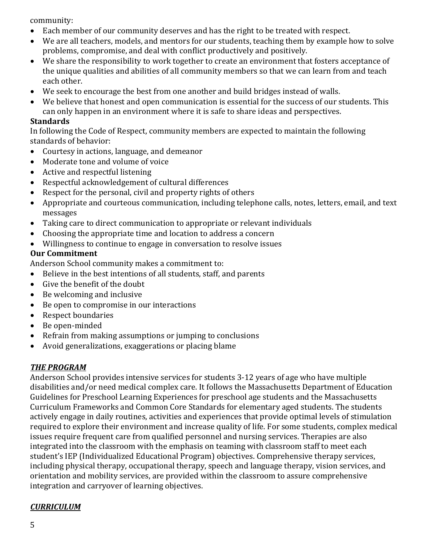community:

- Each member of our community deserves and has the right to be treated with respect.
- We are all teachers, models, and mentors for our students, teaching them by example how to solve problems, compromise, and deal with conflict productively and positively.
- We share the responsibility to work together to create an environment that fosters acceptance of the unique qualities and abilities of all community members so that we can learn from and teach each other.
- We seek to encourage the best from one another and build bridges instead of walls.
- We believe that honest and open communication is essential for the success of our students. This can only happen in an environment where it is safe to share ideas and perspectives.

#### **Standards**

In following the Code of Respect, community members are expected to maintain the following standards of behavior:

- Courtesy in actions, language, and demeanor
- Moderate tone and volume of voice
- Active and respectful listening
- Respectful acknowledgement of cultural differences
- Respect for the personal, civil and property rights of others
- Appropriate and courteous communication, including telephone calls, notes, letters, email, and text messages
- Taking care to direct communication to appropriate or relevant individuals
- Choosing the appropriate time and location to address a concern
- Willingness to continue to engage in conversation to resolve issues

#### **Our Commitment**

Anderson School community makes a commitment to:

- Believe in the best intentions of all students, staff, and parents
- Give the benefit of the doubt
- Be welcoming and inclusive
- Be open to compromise in our interactions
- Respect boundaries
- Be open-minded
- Refrain from making assumptions or jumping to conclusions
- Avoid generalizations, exaggerations or placing blame

#### *THE PROGRAM*

Anderson School provides intensive services for students 3-12 years of age who have multiple disabilities and/or need medical complex care. It follows the Massachusetts Department of Education Guidelines for Preschool Learning Experiences for preschool age students and the Massachusetts Curriculum Frameworks and Common Core Standards for elementary aged students. The students actively engage in daily routines, activities and experiences that provide optimal levels of stimulation required to explore their environment and increase quality of life. For some students, complex medical issues require frequent care from qualified personnel and nursing services. Therapies are also integrated into the classroom with the emphasis on teaming with classroom staff to meet each student's IEP (Individualized Educational Program) objectives. Comprehensive therapy services, including physical therapy, occupational therapy, speech and language therapy, vision services, and orientation and mobility services, are provided within the classroom to assure comprehensive integration and carryover of learning objectives.

#### *CURRICULUM*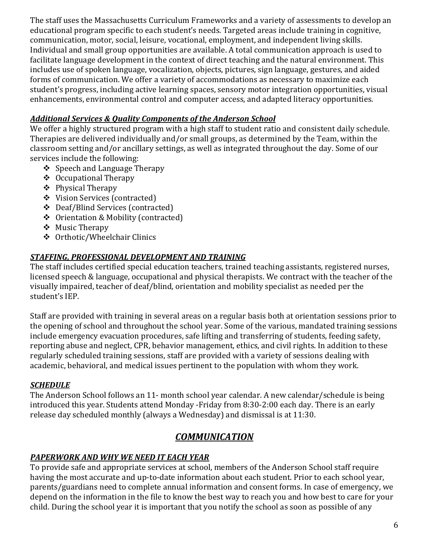The staff uses the Massachusetts Curriculum Frameworks and a variety of assessments to develop an educational program specific to each student's needs. Targeted areas include training in cognitive, communication, motor, social, leisure, vocational, employment, and independent living skills. Individual and small group opportunities are available. A total communication approach is used to facilitate language development in the context of direct teaching and the natural environment. This includes use of spoken language, vocalization, objects, pictures, sign language, gestures, and aided forms of communication. We offer a variety of accommodations as necessary to maximize each student's progress, including active learning spaces, sensory motor integration opportunities, visual enhancements, environmental control and computer access, and adapted literacy opportunities.

#### *Additional Services & Quality Components of the Anderson School*

We offer a highly structured program with a high staff to student ratio and consistent daily schedule. Therapies are delivered individually and/or small groups, as determined by the Team, within the classroom setting and/or ancillary settings, as well as integrated throughout the day. Some of our services include the following:

- $\div$  Speech and Language Therapy
- Occupational Therapy
- ❖ Physical Therapy
- Vision Services (contracted)
- Deaf/Blind Services (contracted)
- Orientation & Mobility (contracted)
- ❖ Music Therapy
- Orthotic/Wheelchair Clinics

## *STAFFING, PROFESSIONAL DEVELOPMENT AND TRAINING*

The staff includes certified special education teachers, trained teaching assistants, registered nurses, licensed speech & language, occupational and physical therapists. We contract with the teacher of the visually impaired, teacher of deaf/blind, orientation and mobility specialist as needed per the student's IEP.

Staff are provided with training in several areas on a regular basis both at orientation sessions prior to the opening of school and throughout the school year. Some of the various, mandated training sessions include emergency evacuation procedures, safe lifting and transferring of students, feeding safety, reporting abuse and neglect, CPR, behavior management, ethics, and civil rights. In addition to these regularly scheduled training sessions, staff are provided with a variety of sessions dealing with academic, behavioral, and medical issues pertinent to the population with whom they work.

## *SCHEDULE*

The Anderson School follows an 11- month school year calendar. A new calendar/schedule is being introduced this year. Students attend Monday -Friday from 8:30-2:00 each day. There is an early release day scheduled monthly (always a Wednesday) and dismissal is at 11:30.

# *COMMUNICATION*

## *PAPERWORK AND WHY WE NEED IT EACH YEAR*

To provide safe and appropriate services at school, members of the Anderson School staff require having the most accurate and up-to-date information about each student. Prior to each school year, parents/guardians need to complete annual information and consent forms. In case of emergency, we depend on the information in the file to know the best way to reach you and how best to care for your child. During the school year it is important that you notify the school as soon as possible of any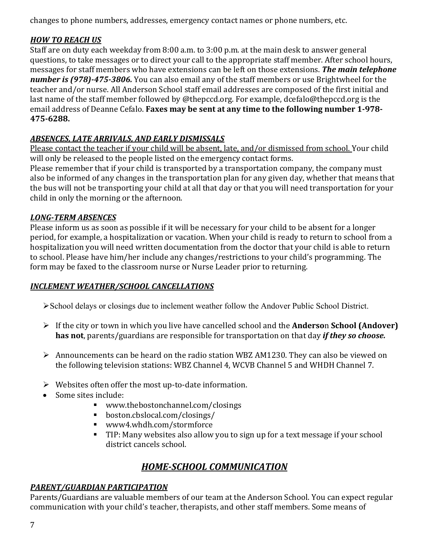changes to phone numbers, addresses, emergency contact names or phone numbers, etc.

## *HOW TO REACH US*

Staff are on duty each weekday from 8:00 a.m. to 3:00 p.m. at the main desk to answer general questions, to take messages or to direct your call to the appropriate staff member. After school hours, messages for staff members who have extensions can be left on those extensions. *The main telephone number is (978)-475-3806.* You can also email any of the staff members or use Brightwheel for the teacher and/or nurse. All Anderson School staff email addresses are composed of the first initial and last name of the staff member followed by @thepccd.org. For example, dcefalo@thepccd.org is the email address of Deanne Cefalo. **Faxes may be sent at any time to the following number 1-978- 475-6288.**

## *ABSENCES, LATE ARRIVALS, AND EARLY DISMISSALS*

Please contact the teacher if your child will be absent, late, and/or dismissed from school. Your child will only be released to the people listed on the emergency contact forms.

Please remember that if your child is transported by a transportation company, the company must also be informed of any changes in the transportation plan for any given day, whether that means that the bus will not be transporting your child at all that day or that you will need transportation for your child in only the morning or the afternoon.

#### *LONG-TERM ABSENCES*

Please inform us as soon as possible if it will be necessary for your child to be absent for a longer period, for example, a hospitalization or vacation. When your child is ready to return to school from a hospitalization you will need written documentation from the doctor that your child is able to return to school. Please have him/her include any changes/restrictions to your child's programming. The form may be faxed to the classroom nurse or Nurse Leader prior to returning.

#### *INCLEMENT WEATHER/SCHOOL CANCELLATIONS*

School delays or closings due to inclement weather follow the Andover Public School District.

- If the city or town in which you live have cancelled school and the **Anderso**n **School (Andover) has not**, parents/guardians are responsible for transportation on that day *if they so choose.*
- Announcements can be heard on the radio station WBZ AM1230. They can also be viewed on the following television stations: WBZ Channel 4, WCVB Channel 5 and WHDH Channel 7.
- $\triangleright$  Websites often offer the most up-to-date information.
- Some sites include:
	- www.thebostonchannel.com/closings
	- boston.cbslocal.com/closings/
	- www4.whdh.com/stormforce
	- **TIP:** Many websites also allow you to sign up for a text message if your school district cancels school.

## *HOME-SCHOOL COMMUNICATION*

#### *PARENT/GUARDIAN PARTICIPATION*

Parents/Guardians are valuable members of our team at the Anderson School. You can expect regular communication with your child's teacher, therapists, and other staff members. Some means of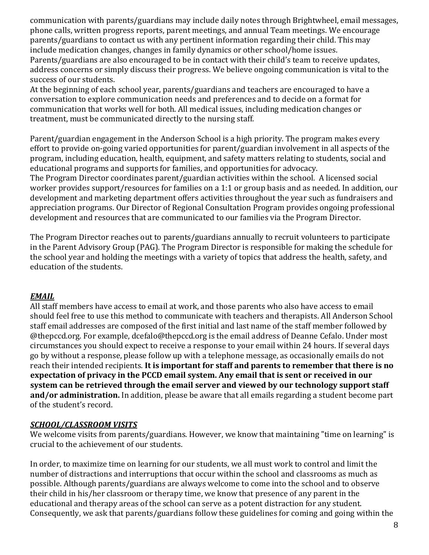communication with parents/guardians may include daily notes through Brightwheel, email messages, phone calls, written progress reports, parent meetings, and annual Team meetings. We encourage parents/guardians to contact us with any pertinent information regarding their child. This may include medication changes, changes in family dynamics or other school/home issues. Parents/guardians are also encouraged to be in contact with their child's team to receive updates, address concerns or simply discuss their progress. We believe ongoing communication is vital to the success of our students.

At the beginning of each school year, parents/guardians and teachers are encouraged to have a conversation to explore communication needs and preferences and to decide on a format for communication that works well for both. All medical issues, including medication changes or treatment, must be communicated directly to the nursing staff.

Parent/guardian engagement in the Anderson School is a high priority. The program makes every effort to provide on-going varied opportunities for parent/guardian involvement in all aspects of the program, including education, health, equipment, and safety matters relating to students, social and educational programs and supports for families, and opportunities for advocacy.

The Program Director coordinates parent/guardian activities within the school. A licensed social worker provides support/resources for families on a 1:1 or group basis and as needed. In addition, our development and marketing department offers activities throughout the year such as fundraisers and appreciation programs. Our Director of Regional Consultation Program provides ongoing professional development and resources that are communicated to our families via the Program Director.

The Program Director reaches out to parents/guardians annually to recruit volunteers to participate in the Parent Advisory Group (PAG). The Program Director is responsible for making the schedule for the school year and holding the meetings with a variety of topics that address the health, safety, and education of the students.

#### *EMAIL*

All staff members have access to email at work, and those parents who also have access to email should feel free to use this method to communicate with teachers and therapists. All Anderson School staff email addresses are composed of the first initial and last name of the staff member followed by @thepccd.org. For example, dcefalo@thepccd.org is the email address of Deanne Cefalo. Under most circumstances you should expect to receive a response to your email within 24 hours. If several days go by without a response, please follow up with a telephone message, as occasionally emails do not reach their intended recipients. **It is important for staff and parents to remember that there is no expectation of privacy in the PCCD email system. Any email that is sent or received in our system can be retrieved through the email server and viewed by our technology support staff and/or administration.** In addition, please be aware that all emails regarding a student become part of the student's record.

#### *SCHOOL/CLASSROOM VISITS*

We welcome visits from parents/guardians. However, we know that maintaining "time on learning" is crucial to the achievement of our students.

In order, to maximize time on learning for our students, we all must work to control and limit the number of distractions and interruptions that occur within the school and classrooms as much as possible. Although parents/guardians are always welcome to come into the school and to observe their child in his/her classroom or therapy time, we know that presence of any parent in the educational and therapy areas of the school can serve as a potent distraction for any student. Consequently, we ask that parents/guardians follow these guidelines for coming and going within the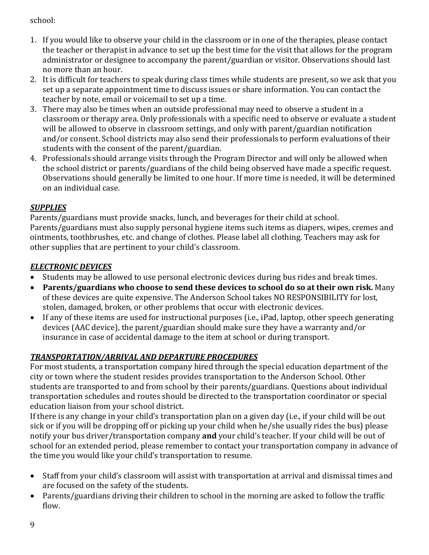school:

- 1. If you would like to observe your child in the classroom or in one of the therapies, please contact the teacher or therapist in advance to set up the best time for the visit that allows for the program administrator or designee to accompany the parent/guardian or visitor. Observations should last no more than an hour.
- 2. It is difficult for teachers to speak during class times while students are present, so we ask that you set up a separate appointment time to discuss issues or share information. You can contact the teacher by note, email or voicemail to set up a time.
- 3. There may also be times when an outside professional may need to observe a student in a classroom or therapy area. Only professionals with a specific need to observe or evaluate a student will be allowed to observe in classroom settings, and only with parent/guardian notification and/or consent. School districts may also send their professionals to perform evaluations of their students with the consent of the parent/guardian.
- 4. Professionals should arrange visits through the Program Director and will only be allowed when the school district or parents/guardians of the child being observed have made a specific request. Observations should generally be limited to one hour. If more time is needed, it will be determined on an individual case.

#### *SUPPLIES*

Parents/guardians must provide snacks, lunch, and beverages for their child at school. Parents/guardians must also supply personal hygiene items such items as diapers, wipes, cremes and ointments, toothbrushes, etc. and change of clothes. Please label all clothing. Teachers may ask for other supplies that are pertinent to your child's classroom.

#### *ELECTRONIC DEVICES*

- Students may be allowed to use personal electronic devices during bus rides and break times.
- **Parents/guardians who choose to send these devices to school do so at their own risk.** Many of these devices are quite expensive. The Anderson School takes NO RESPONSIBILITY for lost, stolen, damaged, broken, or other problems that occur with electronic devices.
- If any of these items are used for instructional purposes (i.e., iPad, laptop, other speech generating devices (AAC device), the parent/guardian should make sure they have a warranty and/or insurance in case of accidental damage to the item at school or during transport.

## *TRANSPORTATION/ARRIVAL AND DEPARTURE PROCEDURES*

For most students, a transportation company hired through the special education department of the city or town where the student resides provides transportation to the Anderson School. Other students are transported to and from school by their parents/guardians. Questions about individual transportation schedules and routes should be directed to the transportation coordinator or special education liaison from your school district.

If there is any change in your child's transportation plan on a given day (i.e., if your child will be out sick or if you will be dropping off or picking up your child when he/she usually rides the bus) please notify your bus driver/transportation company **and** your child's teacher. If your child will be out of school for an extended period, please remember to contact your transportation company in advance of the time you would like your child's transportation to resume.

- Staff from your child's classroom will assist with transportation at arrival and dismissal times and are focused on the safety of the students.
- Parents/guardians driving their children to school in the morning are asked to follow the traffic flow.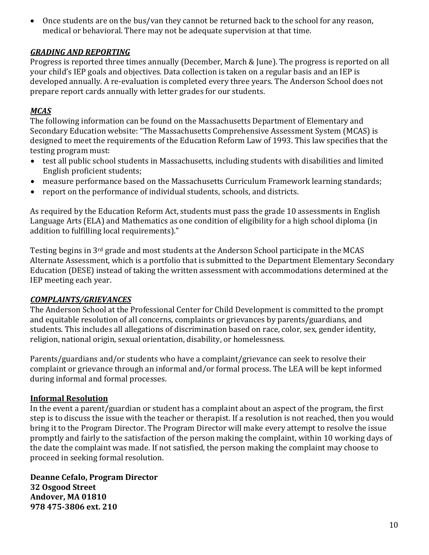• Once students are on the bus/van they cannot be returned back to the school for any reason, medical or behavioral. There may not be adequate supervision at that time.

#### *GRADING AND REPORTING*

Progress is reported three times annually (December, March & June). The progress is reported on all your child's IEP goals and objectives. Data collection is taken on a regular basis and an IEP is developed annually. A re-evaluation is completed every three years. The Anderson School does not prepare report cards annually with letter grades for our students.

#### *MCAS*

The following information can be found on the Massachusetts Department of Elementary and Secondary Education website: "The Massachusetts Comprehensive Assessment System (MCAS) is designed to meet the requirements of the Education Reform Law of 1993. This law specifies that the testing program must:

- test all public school students in Massachusetts, including students with disabilities and limited English proficient students;
- measure performance based on the Massachusetts Curriculum Framework learning standards;
- report on the performance of individual students, schools, and districts.

As required by the Education Reform Act, students must pass the grade 10 assessments in English Language Arts (ELA) and Mathematics as one condition of eligibility for a high school diploma (in addition to fulfilling local requirements)."

Testing begins in 3rd grade and most students at the Anderson School participate in the MCAS Alternate Assessment, which is a portfolio that is submitted to the Department Elementary Secondary Education (DESE) instead of taking the written assessment with accommodations determined at the IEP meeting each year.

#### *COMPLAINTS/GRIEVANCES*

The Anderson School at the Professional Center for Child Development is committed to the prompt and equitable resolution of all concerns, complaints or grievances by parents/guardians, and students. This includes all allegations of discrimination based on race, color, sex, gender identity, religion, national origin, sexual orientation, disability, or homelessness.

Parents/guardians and/or students who have a complaint/grievance can seek to resolve their complaint or grievance through an informal and/or formal process. The LEA will be kept informed during informal and formal processes.

#### **Informal Resolution**

In the event a parent/guardian or student has a complaint about an aspect of the program, the first step is to discuss the issue with the teacher or therapist. If a resolution is not reached, then you would bring it to the Program Director. The Program Director will make every attempt to resolve the issue promptly and fairly to the satisfaction of the person making the complaint, within 10 working days of the date the complaint was made. If not satisfied, the person making the complaint may choose to proceed in seeking formal resolution.

**Deanne Cefalo, Program Director 32 Osgood Street Andover, MA 01810 978 475-3806 ext. 210**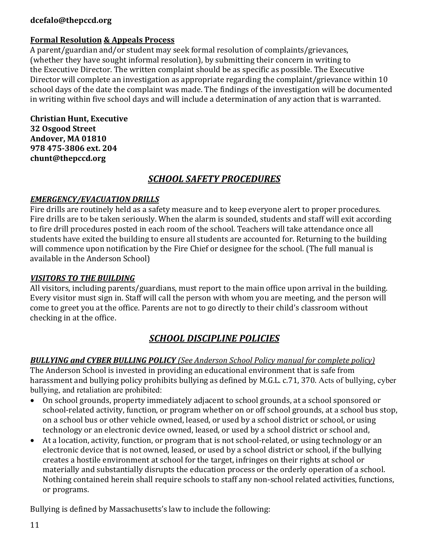#### **dcefalo@thepccd.org**

## **Formal Resolution & Appeals Process**

A parent/guardian and/or student may seek formal resolution of complaints/grievances, (whether they have sought informal resolution), by submitting their concern in writing to the Executive Director. The written complaint should be as specific as possible. The Executive Director will complete an investigation as appropriate regarding the complaint/grievance within 10 school days of the date the complaint was made. The findings of the investigation will be documented in writing within five school days and will include a determination of any action that is warranted.

**Christian Hunt, Executive 32 Osgood Street Andover, MA 01810 978 475-3806 ext. 204 chunt@thepccd.org**

## *SCHOOL SAFETY PROCEDURES*

#### *EMERGENCY/EVACUATION DRILLS*

Fire drills are routinely held as a safety measure and to keep everyone alert to proper procedures. Fire drills are to be taken seriously. When the alarm is sounded, students and staff will exit according to fire drill procedures posted in each room of the school. Teachers will take attendance once all students have exited the building to ensure all students are accounted for. Returning to the building will commence upon notification by the Fire Chief or designee for the school. (The full manual is available in the Anderson School)

#### *VISITORS TO THE BUILDING*

All visitors, including parents/guardians, must report to the main office upon arrival in the building. Every visitor must sign in. Staff will call the person with whom you are meeting, and the person will come to greet you at the office. Parents are not to go directly to their child's classroom without checking in at the office.

## *SCHOOL DISCIPLINE POLICIES*

#### *BULLYING and CYBER BULLING POLICY (See Anderson School Policy manual for complete policy)*

The Anderson School is invested in providing an educational environment that is safe from harassment and bullying policy prohibits bullying as defined by M.G.L. c.71, 370. Acts of bullying, cyber bullying, and retaliation are prohibited:

- On school grounds, property immediately adjacent to school grounds, at a school sponsored or school-related activity, function, or program whether on or off school grounds, at a school bus stop, on a school bus or other vehicle owned, leased, or used by a school district or school, or using technology or an electronic device owned, leased, or used by a school district or school and,
- At a location, activity, function, or program that is not school-related, or using technology or an electronic device that is not owned, leased, or used by a school district or school, if the bullying creates a hostile environment at school for the target, infringes on their rights at school or materially and substantially disrupts the education process or the orderly operation of a school. Nothing contained herein shall require schools to staff any non-school related activities, functions, or programs.

Bullying is defined by Massachusetts's law to include the following: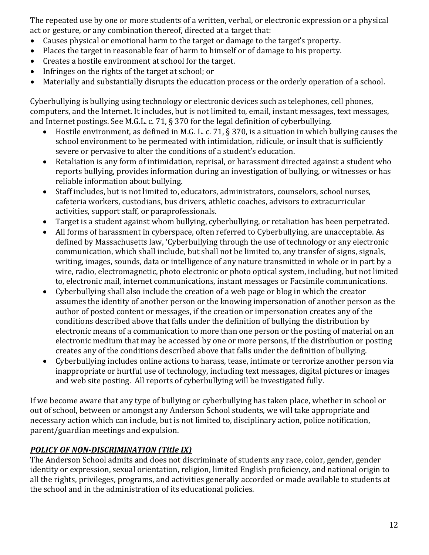The repeated use by one or more students of a written, verbal, or electronic expression or a physical act or gesture, or any combination thereof, directed at a target that:<br>• Causes physical or emotional harm to the target or damage to the

- Causes physical or emotional harm to the target or damage to the target's property.
- Places the target in reasonable fear of harm to himself or of damage to his property.
- Creates a hostile environment at school for the target.
- Infringes on the rights of the target at school; or
- Materially and substantially disrupts the education process or the orderly operation of a school.

Cyberbullying is bullying using technology or electronic devices such as telephones, cell phones, computers, and the Internet. It includes, but is not limited to, email, instant messages, text messages, and Internet postings. See M.G.L. c. 71, § 370 for the legal definition of cyberbullying.<br>• Hostile environment, as defined in M.G. L. c. 71, § 370, is a situation in which b

- Hostile environment, as defined in M.G. L. c. 71, § 370, is a situation in which bullying causes the school environment to be permeated with intimidation, ridicule, or insult that is sufficiently severe or pervasive to alter the conditions of a student's education.
- Retaliation is any form of intimidation, reprisal, or harassment directed against a student who reports bullying, provides information during an investigation of bullying, or witnesses or has reliable information about bullying.
- Staff includes, but is not limited to, educators, administrators, counselors, school nurses, cafeteria workers, custodians, bus drivers, athletic coaches, advisors to extracurricular activities, support staff, or paraprofessionals.
- Target is a student against whom bullying, cyberbullying, or retaliation has been perpetrated.<br>• All forms of harassment in cyberspace, often referred to Cyberbullying, are unacceptable. As
- All forms of harassment in cyberspace, often referred to Cyberbullying, are unacceptable. As defined by Massachusetts law, 'Cyberbullying through the use of technology or any electronic communication, which shall include, but shall not be limited to, any transfer of signs, signals, writing, images, sounds, data or intelligence of any nature transmitted in whole or in part by a wire, radio, electromagnetic, photo electronic or photo optical system, including, but not limited to, electronic mail, internet communications, instant messages or Facsimile communications.
- Cyberbullying shall also include the creation of a web page or blog in which the creator assumes the identity of another person or the knowing impersonation of another person as the author of posted content or messages, if the creation or impersonation creates any of the conditions described above that falls under the definition of bullying the distribution by electronic means of a communication to more than one person or the posting of material on an electronic medium that may be accessed by one or more persons, if the distribution or posting creates any of the conditions described above that falls under the definition of bullying.
- Cyberbullying includes online actions to harass, tease, intimate or terrorize another person via inappropriate or hurtful use of technology, including text messages, digital pictures or images and web site posting. All reports of cyberbullying will be investigated fully.

If we become aware that any type of bullying or cyberbullying has taken place, whether in school or out of school, between or amongst any Anderson School students, we will take appropriate and necessary action which can include, but is not limited to, disciplinary action, police notification, parent/guardian meetings and expulsion.

#### *POLICY OF NON-DISCRIMINATION (Title IX)*

The Anderson School admits and does not discriminate of students any race, color, gender, gender identity or expression, sexual orientation, religion, limited English proficiency, and national origin to all the rights, privileges, programs, and activities generally accorded or made available to students at the school and in the administration of its educational policies.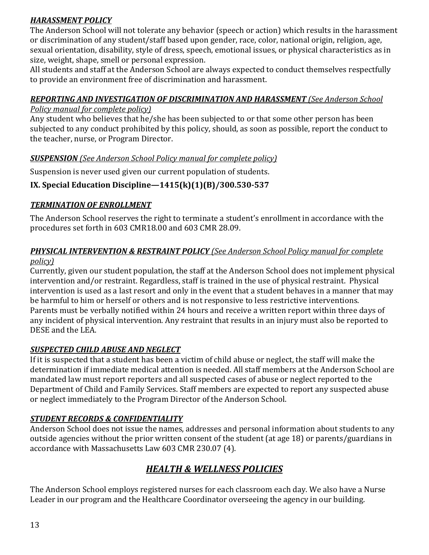## *HARASSMENT POLICY*

The Anderson School will not tolerate any behavior (speech or action) which results in the harassment or discrimination of any student/staff based upon gender, race, color, national origin, religion, age, sexual orientation, disability, style of dress, speech, emotional issues, or physical characteristics as in size, weight, shape, smell or personal expression.

All students and staff at the Anderson School are always expected to conduct themselves respectfully to provide an environment free of discrimination and harassment.

#### *REPORTING AND INVESTIGATION OF DISCRIMINATION AND HARASSMENT (See Anderson School*

#### *Policy manual for complete policy)*

Any student who believes that he/she has been subjected to or that some other person has been subjected to any conduct prohibited by this policy, should, as soon as possible, report the conduct to the teacher, nurse, or Program Director.

#### *SUSPENSION (See Anderson School Policy manual for complete policy)*

Suspension is never used given our current population of students.

## **IX. Special Education Discipline—1415(k)(1)(B)/300.530-537**

#### *TERMINATION OF ENROLLMENT*

The Anderson School reserves the right to terminate a student's enrollment in accordance with the procedures set forth in 603 CMR18.00 and 603 CMR 28.09.

#### *PHYSICAL INTERVENTION & RESTRAINT POLICY (See Anderson School Policy manual for complete policy)*

Currently, given our student population, the staff at the Anderson School does not implement physical intervention and/or restraint. Regardless, staff is trained in the use of physical restraint. Physical intervention is used as a last resort and only in the event that a student behaves in a manner that may be harmful to him or herself or others and is not responsive to less restrictive interventions. Parents must be verbally notified within 24 hours and receive a written report within three days of any incident of physical intervention. Any restraint that results in an injury must also be reported to DESE and the LEA.

#### *SUSPECTED CHILD ABUSE AND NEGLECT*

If it is suspected that a student has been a victim of child abuse or neglect, the staff will make the determination if immediate medical attention is needed. All staff members at the Anderson School are mandated law must report reporters and all suspected cases of abuse or neglect reported to the Department of Child and Family Services. Staff members are expected to report any suspected abuse or neglect immediately to the Program Director of the Anderson School.

#### *STUDENT RECORDS & CONFIDENTIALITY*

Anderson School does not issue the names, addresses and personal information about students to any outside agencies without the prior written consent of the student (at age 18) or parents/guardians in accordance with Massachusetts Law 603 CMR 230.07 (4).

## *HEALTH & WELLNESS POLICIES*

The Anderson School employs registered nurses for each classroom each day. We also have a Nurse Leader in our program and the Healthcare Coordinator overseeing the agency in our building.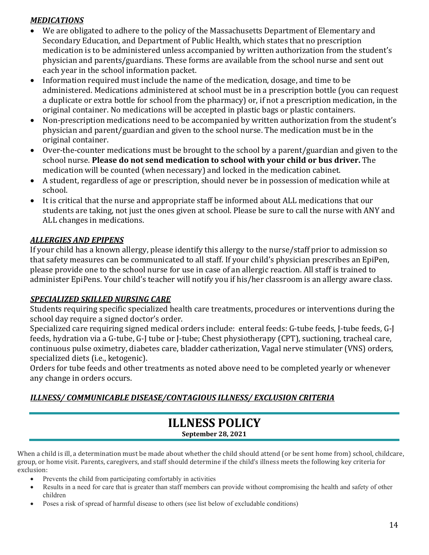#### *MEDICATIONS*

- We are obligated to adhere to the policy of the Massachusetts Department of Elementary and Secondary Education, and Department of Public Health, which states that no prescription medication is to be administered unless accompanied by written authorization from the student's physician and parents/guardians. These forms are available from the school nurse and sent out each year in the school information packet.
- Information required must include the name of the medication, dosage, and time to be administered. Medications administered at school must be in a prescription bottle (you can request a duplicate or extra bottle for school from the pharmacy) or, if not a prescription medication, in the original container. No medications will be accepted in plastic bags or plastic containers.
- Non-prescription medications need to be accompanied by written authorization from the student's physician and parent/guardian and given to the school nurse. The medication must be in the original container.
- Over-the-counter medications must be brought to the school by a parent/guardian and given to the school nurse. **Please do not send medication to school with your child or bus driver.** The medication will be counted (when necessary) and locked in the medication cabinet.
- A student, regardless of age or prescription, should never be in possession of medication while at school.
- It is critical that the nurse and appropriate staff be informed about ALL medications that our students are taking, not just the ones given at school. Please be sure to call the nurse with ANY and ALL changes in medications.

#### *ALLERGIES AND EPIPENS*

If your child has a known allergy, please identify this allergy to the nurse/staff prior to admission so that safety measures can be communicated to all staff. If your child's physician prescribes an EpiPen, please provide one to the school nurse for use in case of an allergic reaction. All staff is trained to administer EpiPens. Your child's teacher will notify you if his/her classroom is an allergy aware class.

#### *SPECIALIZED SKILLED NURSING CARE*

Students requiring specific specialized health care treatments, procedures or interventions during the school day require a signed doctor's order.

Specialized care requiring signed medical orders include: enteral feeds: G-tube feeds, J-tube feeds, G-J feeds, hydration via a G-tube, G-J tube or J-tube; Chest physiotherapy (CPT), suctioning, tracheal care, continuous pulse oximetry, diabetes care, bladder catherization, Vagal nerve stimulater (VNS) orders, specialized diets (i.e., ketogenic).

Orders for tube feeds and other treatments as noted above need to be completed yearly or whenever any change in orders occurs.

## *ILLNESS/ COMMUNICABLE DISEASE/CONTAGIOUS ILLNESS/ EXCLUSION CRITERIA*

## **ILLNESS POLICY September 28, 2021**

When a child is ill, a determination must be made about whether the child should attend (or be sent home from) school, childcare, group, or home visit. Parents, caregivers, and staff should determine if the child's illness meets the following key criteria for exclusion:

- Prevents the child from participating comfortably in activities
- Results in a need for care that is greater than staff members can provide without compromising the health and safety of other children
- Poses a risk of spread of harmful disease to others (see list below of excludable conditions)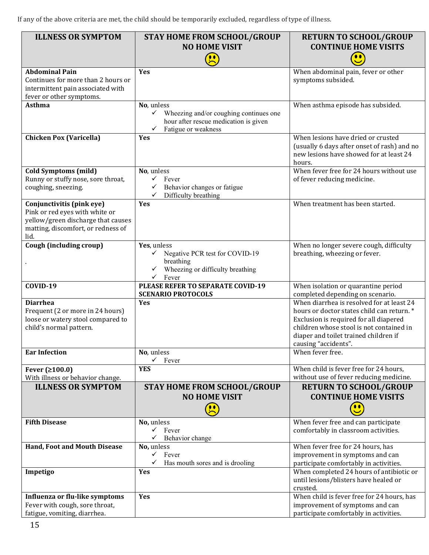If any of the above criteria are met, the child should be temporarily excluded, regardless of type of illness.

| <b>ILLNESS OR SYMPTOM</b>                                                                                                                       | <b>STAY HOME FROM SCHOOL/GROUP</b><br><b>NO HOME VISIT</b>                                                                     | <b>RETURN TO SCHOOL/GROUP</b><br><b>CONTINUE HOME VISITS</b><br>$\bullet \bullet$                                                                                                                                                             |
|-------------------------------------------------------------------------------------------------------------------------------------------------|--------------------------------------------------------------------------------------------------------------------------------|-----------------------------------------------------------------------------------------------------------------------------------------------------------------------------------------------------------------------------------------------|
| <b>Abdominal Pain</b><br>Continues for more than 2 hours or<br>intermittent pain associated with<br>fever or other symptoms.                    | Yes                                                                                                                            | When abdominal pain, fever or other<br>symptoms subsided.                                                                                                                                                                                     |
| <b>Asthma</b>                                                                                                                                   | No, unless<br>✓<br>Wheezing and/or coughing continues one<br>hour after rescue medication is given<br>Fatigue or weakness<br>✓ | When asthma episode has subsided.                                                                                                                                                                                                             |
| <b>Chicken Pox (Varicella)</b>                                                                                                                  | Yes                                                                                                                            | When lesions have dried or crusted<br>(usually 6 days after onset of rash) and no<br>new lesions have showed for at least 24<br>hours.                                                                                                        |
| <b>Cold Symptoms (mild)</b><br>Runny or stuffy nose, sore throat,<br>coughing, sneezing.                                                        | No, unless<br>$\checkmark$ Fever<br>Behavior changes or fatigue<br>✓<br>Difficulty breathing                                   | When fever free for 24 hours without use<br>of fever reducing medicine.                                                                                                                                                                       |
| Conjunctivitis (pink eye)<br>Pink or red eyes with white or<br>yellow/green discharge that causes<br>matting, discomfort, or redness of<br>lid. | Yes                                                                                                                            | When treatment has been started.                                                                                                                                                                                                              |
| Cough (including croup)                                                                                                                         | Yes, unless<br>Negative PCR test for COVID-19<br>$\checkmark$<br>breathing<br>Wheezing or difficulty breathing<br>Fever<br>✓   | When no longer severe cough, difficulty<br>breathing, wheezing or fever.                                                                                                                                                                      |
| COVID-19                                                                                                                                        | PLEASE REFER TO SEPARATE COVID-19<br><b>SCENARIO PROTOCOLS</b>                                                                 | When isolation or quarantine period<br>completed depending on scenario.                                                                                                                                                                       |
| <b>Diarrhea</b><br>Frequent (2 or more in 24 hours)<br>loose or watery stool compared to<br>child's normal pattern.                             | Yes                                                                                                                            | When diarrhea is resolved for at least 24<br>hours or doctor states child can return.*<br>Exclusion is required for all diapered<br>children whose stool is not contained in<br>diaper and toilet trained children if<br>causing "accidents". |
| <b>Ear Infection</b>                                                                                                                            | No, unless<br>$\checkmark$<br>Fever                                                                                            | When fever free.                                                                                                                                                                                                                              |
| Fever $(≥100.0)$<br>With illness or behavior change.                                                                                            | <b>YES</b>                                                                                                                     | When child is fever free for 24 hours,<br>without use of fever reducing medicine.                                                                                                                                                             |
| <b>ILLNESS OR SYMPTOM</b>                                                                                                                       | <b>STAY HOME FROM SCHOOL/GROUP</b><br><b>NO HOME VISIT</b>                                                                     | <b>RETURN TO SCHOOL/GROUP</b><br><b>CONTINUE HOME VISITS</b>                                                                                                                                                                                  |
| <b>Fifth Disease</b>                                                                                                                            | No, unless<br>$\checkmark$<br>Fever<br>Behavior change<br>✓                                                                    | When fever free and can participate<br>comfortably in classroom activities.                                                                                                                                                                   |
| Hand, Foot and Mouth Disease                                                                                                                    | No, unless<br>✓<br>Fever<br>✓<br>Has mouth sores and is drooling                                                               | When fever free for 24 hours, has<br>improvement in symptoms and can<br>participate comfortably in activities.                                                                                                                                |
| Impetigo                                                                                                                                        | Yes                                                                                                                            | When completed 24 hours of antibiotic or<br>until lesions/blisters have healed or<br>crusted.                                                                                                                                                 |
| Influenza or flu-like symptoms<br>Fever with cough, sore throat,<br>fatigue, vomiting, diarrhea.                                                | Yes                                                                                                                            | When child is fever free for 24 hours, has<br>improvement of symptoms and can<br>participate comfortably in activities.                                                                                                                       |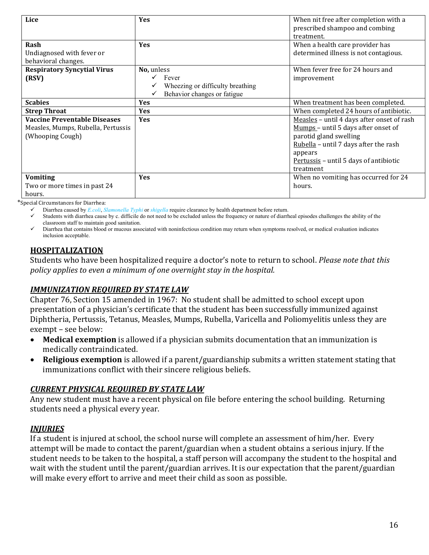| Lice                                                                                          | <b>Yes</b>                                                                                          | When nit free after completion with a<br>prescribed shampoo and combing                                                                                                                                                |
|-----------------------------------------------------------------------------------------------|-----------------------------------------------------------------------------------------------------|------------------------------------------------------------------------------------------------------------------------------------------------------------------------------------------------------------------------|
| Rash<br>Undiagnosed with fever or<br>behavioral changes.                                      | <b>Yes</b>                                                                                          | treatment.<br>When a health care provider has<br>determined illness is not contagious.                                                                                                                                 |
| <b>Respiratory Syncytial Virus</b><br>(RSV)                                                   | No, unless<br>$\checkmark$ Fever<br>Wheezing or difficulty breathing<br>Behavior changes or fatigue | When fever free for 24 hours and<br>improvement                                                                                                                                                                        |
| <b>Scabies</b>                                                                                | Yes                                                                                                 | When treatment has been completed.                                                                                                                                                                                     |
| <b>Strep Throat</b>                                                                           | Yes                                                                                                 | When completed 24 hours of antibiotic.                                                                                                                                                                                 |
| <b>Vaccine Preventable Diseases</b><br>Measles, Mumps, Rubella, Pertussis<br>(Whooping Cough) | Yes                                                                                                 | Measles - until 4 days after onset of rash<br>Mumps - until 5 days after onset of<br>parotid gland swelling<br>Rubella - until 7 days after the rash<br>appears<br>Pertussis - until 5 days of antibiotic<br>treatment |
| <b>Vomiting</b><br>Two or more times in past 24<br>hours.                                     | Yes                                                                                                 | When no vomiting has occurred for 24<br>hours.                                                                                                                                                                         |

\*Special Circumstances for Diarrhea:

Diarrhea caused by *E.coli*, *Slamonella Typhi* or *shigella* require clearance by health department before return.

 Students with diarrhea cause by c. difficile do not need to be excluded unless the frequency or nature of diarrheal episodes challenges the ability of the classroom staff to maintain good sanitation.

 Diarrhea that contains blood or mucous associated with noninfectious condition may return when symptoms resolved, or medical evaluation indicates inclusion acceptable.

#### **HOSPITALIZATION**

Students who have been hospitalized require a doctor's note to return to school. *Please note that this policy applies to even a minimum of one overnight stay in the hospital.*

#### *IMMUNIZATION REQUIRED BY STATE LAW*

Chapter 76, Section 15 amended in 1967: No student shall be admitted to school except upon presentation of a physician's certificate that the student has been successfully immunized against Diphtheria, Pertussis, Tetanus, Measles, Mumps, Rubella, Varicella and Poliomyelitis unless they are exempt – see below:

- **Medical exemption** is allowed if a physician submits documentation that an immunization is medically contraindicated.
- **Religious exemption** is allowed if a parent/guardianship submits a written statement stating that immunizations conflict with their sincere religious beliefs.

#### *CURRENT PHYSICAL REQUIRED BY STATE LAW*

Any new student must have a recent physical on file before entering the school building. Returning students need a physical every year.

#### *INJURIES*

If a student is injured at school, the school nurse will complete an assessment of him/her. Every attempt will be made to contact the parent/guardian when a student obtains a serious injury. If the student needs to be taken to the hospital, a staff person will accompany the student to the hospital and wait with the student until the parent/guardian arrives. It is our expectation that the parent/guardian will make every effort to arrive and meet their child as soon as possible.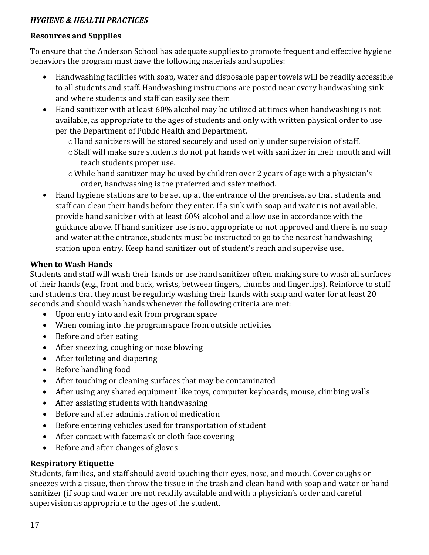#### *HYGIENE & HEALTH PRACTICES*

#### **Resources and Supplies**

To ensure that the Anderson School has adequate supplies to promote frequent and effective hygiene behaviors the program must have the following materials and supplies:

- Handwashing facilities with soap, water and disposable paper towels will be readily accessible to all students and staff. Handwashing instructions are posted near every handwashing sink and where students and staff can easily see them
- Hand sanitizer with at least 60% alcohol may be utilized at times when handwashing is not available, as appropriate to the ages of students and only with written physical order to use per the Department of Public Health and Department.
	- oHand sanitizers will be stored securely and used only under supervision of staff.
	- oStaff will make sure students do not put hands wet with sanitizer in their mouth and will teach students proper use.
	- oWhile hand sanitizer may be used by children over 2 years of age with a physician's order, handwashing is the preferred and safer method.
- Hand hygiene stations are to be set up at the entrance of the premises, so that students and staff can clean their hands before they enter. If a sink with soap and water is not available, provide hand sanitizer with at least 60% alcohol and allow use in accordance with the guidance above. If hand sanitizer use is not appropriate or not approved and there is no soap and water at the entrance, students must be instructed to go to the nearest handwashing station upon entry. Keep hand sanitizer out of student's reach and supervise use.

#### **When to Wash Hands**

Students and staff will wash their hands or use hand sanitizer often, making sure to wash all surfaces of their hands (e.g., front and back, wrists, between fingers, thumbs and fingertips). Reinforce to staff and students that they must be regularly washing their hands with soap and water for at least 20 seconds and should wash hands whenever the following criteria are met:

- Upon entry into and exit from program space
- When coming into the program space from outside activities
- Before and after eating
- After sneezing, coughing or nose blowing
- After toileting and diapering
- Before handling food
- After touching or cleaning surfaces that may be contaminated
- After using any shared equipment like toys, computer keyboards, mouse, climbing walls
- After assisting students with handwashing
- Before and after administration of medication
- Before entering vehicles used for transportation of student
- After contact with facemask or cloth face covering
- Before and after changes of gloves

#### **Respiratory Etiquette**

Students, families, and staff should avoid touching their eyes, nose, and mouth. Cover coughs or sneezes with a tissue, then throw the tissue in the trash and clean hand with soap and water or hand sanitizer (if soap and water are not readily available and with a physician's order and careful supervision as appropriate to the ages of the student.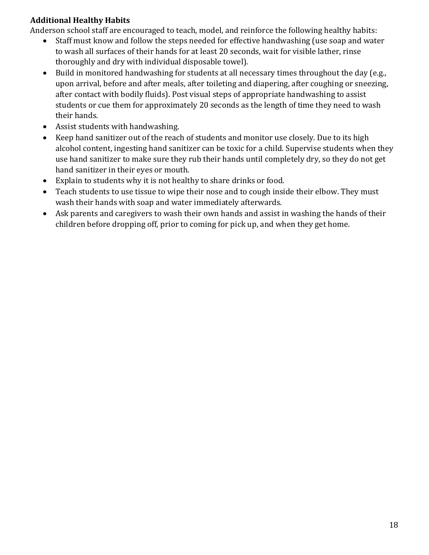#### **Additional Healthy Habits**

Anderson school staff are encouraged to teach, model, and reinforce the following healthy habits:<br>• Staff must know and follow the steps needed for effective handwashing (use soap and wate

- Staff must know and follow the steps needed for effective handwashing (use soap and water to wash all surfaces of their hands for at least 20 seconds, wait for visible lather, rinse thoroughly and dry with individual disposable towel).
- Build in monitored handwashing for students at all necessary times throughout the day (e.g., upon arrival, before and after meals, after toileting and diapering, after coughing or sneezing, after contact with bodily fluids). Post visual steps of appropriate handwashing to assist students or cue them for approximately 20 seconds as the length of time they need to wash their hands.
- Assist students with handwashing.
- Keep hand sanitizer out of the reach of students and monitor use closely. Due to its high alcohol content, ingesting hand sanitizer can be toxic for a child. Supervise students when they use hand sanitizer to make sure they rub their hands until completely dry, so they do not get hand sanitizer in their eyes or mouth.
- Explain to students why it is not healthy to share drinks or food.
- Teach students to use tissue to wipe their nose and to cough inside their elbow. They must wash their hands with soap and water immediately afterwards.
- Ask parents and caregivers to wash their own hands and assist in washing the hands of their children before dropping off, prior to coming for pick up, and when they get home.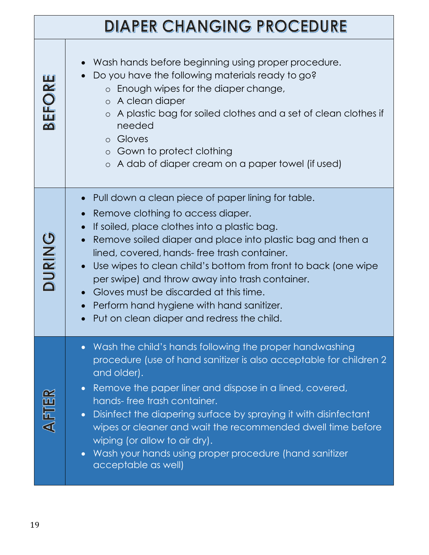| <b>DIAPER CHANGING PROCEDURE</b> |  |
|----------------------------------|--|
|----------------------------------|--|

| BEFORE        | Wash hands before beginning using proper procedure.<br>Do you have the following materials ready to go?<br>o Enough wipes for the diaper change,<br>○ A clean diaper<br>A plastic bag for soiled clothes and a set of clean clothes if<br>$\circ$<br>needed<br>o Gloves<br>o Gown to protect clothing<br>○ A dab of diaper cream on a paper towel (if used)                                                                                                                                                                                     |
|---------------|-------------------------------------------------------------------------------------------------------------------------------------------------------------------------------------------------------------------------------------------------------------------------------------------------------------------------------------------------------------------------------------------------------------------------------------------------------------------------------------------------------------------------------------------------|
| <b>DURING</b> | Pull down a clean piece of paper lining for table.<br>$\bullet$<br>Remove clothing to access diaper.<br>If soiled, place clothes into a plastic bag.<br>Remove soiled diaper and place into plastic bag and then a<br>lined, covered, hands-free trash container.<br>Use wipes to clean child's bottom from front to back (one wipe<br>per swipe) and throw away into trash container.<br>Gloves must be discarded at this time.<br>Perform hand hygiene with hand sanitizer.<br>Put on clean diaper and redress the child.                     |
| AFTER         | Wash the child's hands following the proper handwashing<br>$\bullet$<br>procedure (use of hand sanitizer is also acceptable for children 2<br>and older).<br>Remove the paper liner and dispose in a lined, covered,<br>$\bullet$<br>hands-free trash container.<br>Disinfect the diapering surface by spraying it with disinfectant<br>$\bullet$<br>wipes or cleaner and wait the recommended dwell time before<br>wiping (or allow to air dry).<br>Wash your hands using proper procedure (hand sanitizer<br>$\bullet$<br>acceptable as well) |